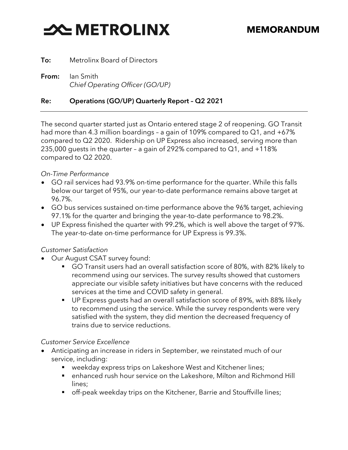# **SOUTHER STATE**

To: Metrolinx Board of Directors

From: Ian Smith *Chief Operating Officer (GO/UP)*

## Re: Operations (GO/UP) Quarterly Report – Q2 2021

The second quarter started just as Ontario entered stage 2 of reopening. GO Transit had more than 4.3 million boardings - a gain of 109% compared to Q1, and +67% compared to Q2 2020. Ridership on UP Express also increased, serving more than 235,000 guests in the quarter – a gain of 292% compared to Q1, and +118% compared to Q2 2020.

### *On-Time Performance*

- GO rail services had 93.9% on-time performance for the quarter. While this falls below our target of 95%, our year-to-date performance remains above target at 96.7%.
- GO bus services sustained on-time performance above the 96% target, achieving 97.1% for the quarter and bringing the year-to-date performance to 98.2%.
- UP Express finished the quarter with 99.2%, which is well above the target of 97%. The year-to-date on-time performance for UP Express is 99.3%.

## *Customer Satisfaction*

- Our August CSAT survey found:
	- GO Transit users had an overall satisfaction score of 80%, with 82% likely to recommend using our services. The survey results showed that customers appreciate our visible safety initiatives but have concerns with the reduced services at the time and COVID safety in general.
	- UP Express quests had an overall satisfaction score of 89%, with 88% likely to recommend using the service. While the survey respondents were very satisfied with the system, they did mention the decreased frequency of trains due to service reductions.

#### *Customer Service Excellence*

- Anticipating an increase in riders in September, we reinstated much of our service, including:
	- weekday express trips on Lakeshore West and Kitchener lines;
	- enhanced rush hour service on the Lakeshore, Milton and Richmond Hill lines;
	- off-peak weekday trips on the Kitchener, Barrie and Stouffville lines;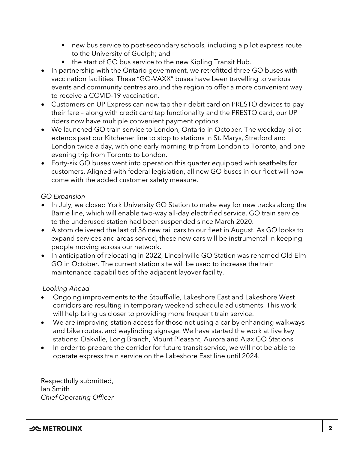- new bus service to post-secondary schools, including a pilot express route to the University of Guelph; and
- the start of GO bus service to the new Kipling Transit Hub.
- In partnership with the Ontario government, we retrofitted three GO buses with vaccination facilities. These "GO-VAXX" buses have been travelling to various events and community centres around the region to offer a more convenient way to receive a COVID-19 vaccination.
- Customers on UP Express can now tap their debit card on PRESTO devices to pay their fare – along with credit card tap functionality and the PRESTO card, our UP riders now have multiple convenient payment options.
- We launched GO train service to London, Ontario in October. The weekday pilot extends past our Kitchener line to stop to stations in St. Marys, Stratford and London twice a day, with one early morning trip from London to Toronto, and one evening trip from Toronto to London.
- Forty-six GO buses went into operation this quarter equipped with seatbelts for customers. Aligned with federal legislation, all new GO buses in our fleet will now come with the added customer safety measure.

## *GO Expansion*

- In July, we closed York University GO Station to make way for new tracks along the Barrie line, which will enable two-way all-day electrified service. GO train service to the underused station had been suspended since March 2020.
- Alstom delivered the last of 36 new rail cars to our fleet in August. As GO looks to expand services and areas served, these new cars will be instrumental in keeping people moving across our network.
- In anticipation of relocating in 2022, Lincolnville GO Station was renamed Old Elm GO in October. The current station site will be used to increase the train maintenance capabilities of the adjacent layover facility.

## *Looking Ahead*

- Ongoing improvements to the Stouffville, Lakeshore East and Lakeshore West corridors are resulting in temporary weekend schedule adjustments. This work will help bring us closer to providing more frequent train service.
- We are improving station access for those not using a car by enhancing walkways and bike routes, and wayfinding signage. We have started the work at five key stations: Oakville, Long Branch, Mount Pleasant, Aurora and Ajax GO Stations.
- In order to prepare the corridor for future transit service, we will not be able to operate express train service on the Lakeshore East line until 2024.

Respectfully submitted, Ian Smith *Chief Operating Officer*